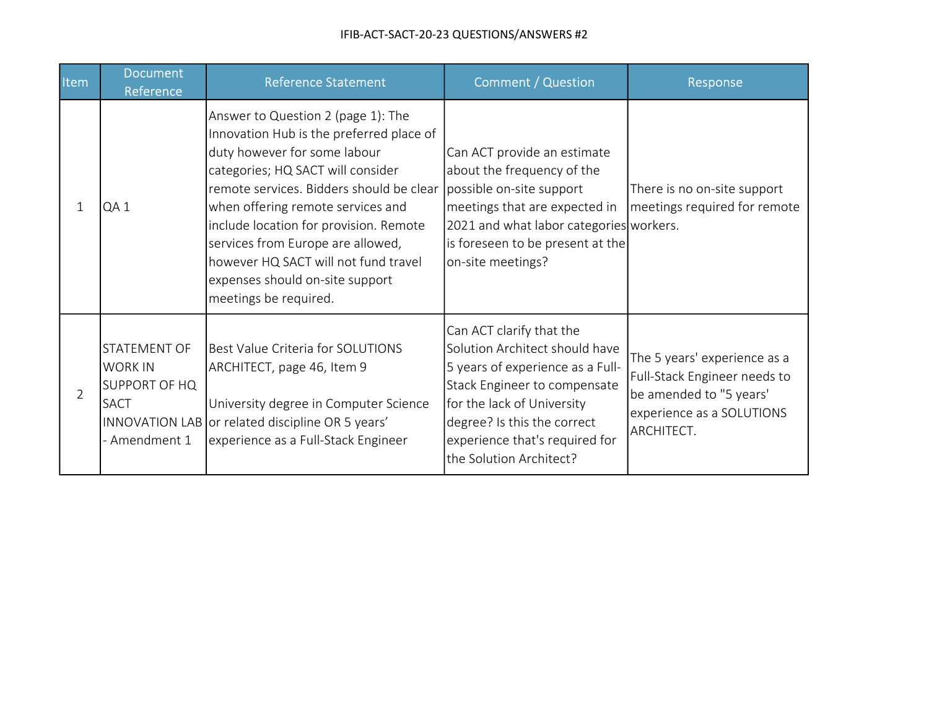| Item           | <b>Document</b><br>Reference                                                           | <b>Reference Statement</b>                                                                                                                                                                                                                                                                                                                                                                                              | <b>Comment / Question</b>                                                                                                                                                                                                                                | Response                                                                                                                           |
|----------------|----------------------------------------------------------------------------------------|-------------------------------------------------------------------------------------------------------------------------------------------------------------------------------------------------------------------------------------------------------------------------------------------------------------------------------------------------------------------------------------------------------------------------|----------------------------------------------------------------------------------------------------------------------------------------------------------------------------------------------------------------------------------------------------------|------------------------------------------------------------------------------------------------------------------------------------|
| $\mathbf{1}$   | QA1                                                                                    | Answer to Question 2 (page 1): The<br>Innovation Hub is the preferred place of<br>duty however for some labour<br>categories; HQ SACT will consider<br>remote services. Bidders should be clear<br>when offering remote services and<br>include location for provision. Remote<br>services from Europe are allowed,<br>however HQ SACT will not fund travel<br>expenses should on-site support<br>meetings be required. | Can ACT provide an estimate<br>about the frequency of the<br>possible on-site support<br>meetings that are expected in<br>2021 and what labor categories workers.<br>is foreseen to be present at the<br>on-site meetings?                               | There is no on-site support<br>meetings required for remote                                                                        |
| $\overline{2}$ | STATEMENT OF<br><b>WORK IN</b><br><b>SUPPORT OF HQ</b><br><b>SACT</b><br>- Amendment 1 | Best Value Criteria for SOLUTIONS<br>ARCHITECT, page 46, Item 9<br>University degree in Computer Science<br>INNOVATION LAB or related discipline OR 5 years'<br>experience as a Full-Stack Engineer                                                                                                                                                                                                                     | Can ACT clarify that the<br>Solution Architect should have<br>5 years of experience as a Full-<br>Stack Engineer to compensate<br>for the lack of University<br>degree? Is this the correct<br>experience that's required for<br>the Solution Architect? | The 5 years' experience as a<br>Full-Stack Engineer needs to<br>be amended to "5 years'<br>experience as a SOLUTIONS<br>ARCHITECT. |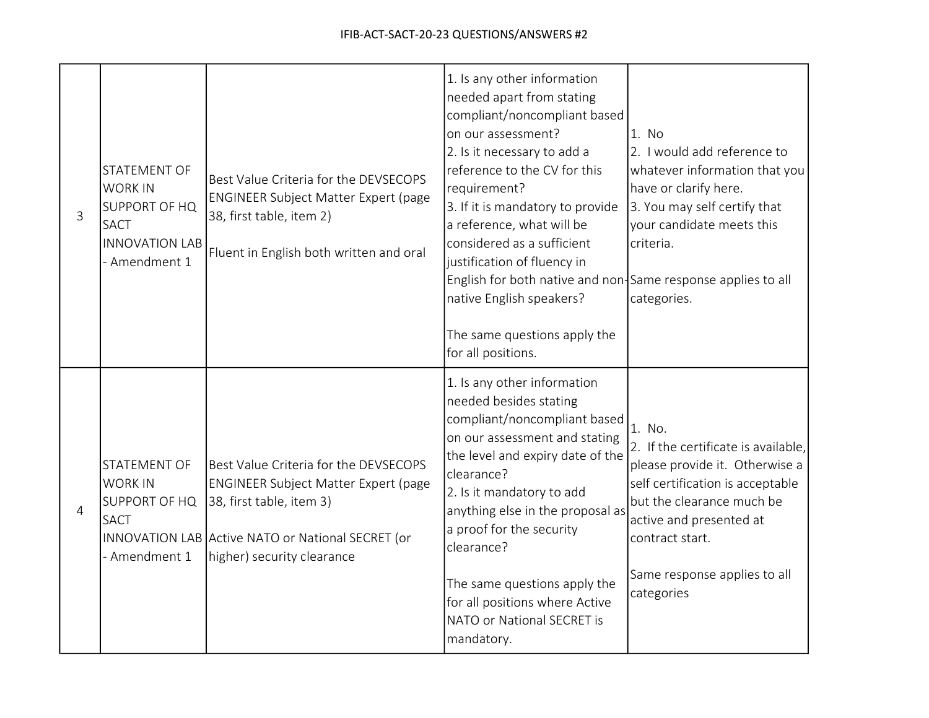| 3 | STATEMENT OF<br><b>WORK IN</b><br><b>SUPPORT OF HQ</b><br><b>SACT</b><br><b>INNOVATION LAB</b><br>- Amendment 1 | Best Value Criteria for the DEVSECOPS<br><b>ENGINEER Subject Matter Expert (page</b><br>38, first table, item 2)<br>Fluent in English both written and oral                                         | 1. Is any other information<br>needed apart from stating<br>compliant/noncompliant based<br>on our assessment?<br>2. Is it necessary to add a<br>reference to the CV for this<br>requirement?<br>3. If it is mandatory to provide<br>a reference, what will be<br>considered as a sufficient<br>justification of fluency in<br>English for both native and non-Same response applies to all<br>native English speakers?<br>The same questions apply the<br>for all positions. | 1. No<br>2. I would add reference to<br>whatever information that you<br>have or clarify here.<br>3. You may self certify that<br>your candidate meets this<br>criteria.<br>categories.                                                      |
|---|-----------------------------------------------------------------------------------------------------------------|-----------------------------------------------------------------------------------------------------------------------------------------------------------------------------------------------------|-------------------------------------------------------------------------------------------------------------------------------------------------------------------------------------------------------------------------------------------------------------------------------------------------------------------------------------------------------------------------------------------------------------------------------------------------------------------------------|----------------------------------------------------------------------------------------------------------------------------------------------------------------------------------------------------------------------------------------------|
| 4 | STATEMENT OF<br><b>WORK IN</b><br>SUPPORT OF HQ<br><b>SACT</b><br>- Amendment 1                                 | Best Value Criteria for the DEVSECOPS<br><b>ENGINEER Subject Matter Expert (page</b><br>38, first table, item 3)<br>INNOVATION LAB Active NATO or National SECRET (or<br>higher) security clearance | 1. Is any other information<br>needed besides stating<br>compliant/noncompliant based<br>on our assessment and stating<br>the level and expiry date of the<br>clearance?<br>2. Is it mandatory to add<br>anything else in the proposal as<br>a proof for the security<br>clearance?<br>The same questions apply the<br>for all positions where Active<br>NATO or National SECRET is<br>mandatory.                                                                             | 1. No.<br>2. If the certificate is available,<br>please provide it. Otherwise a<br>self certification is acceptable<br>but the clearance much be<br>active and presented at<br>contract start.<br>Same response applies to all<br>categories |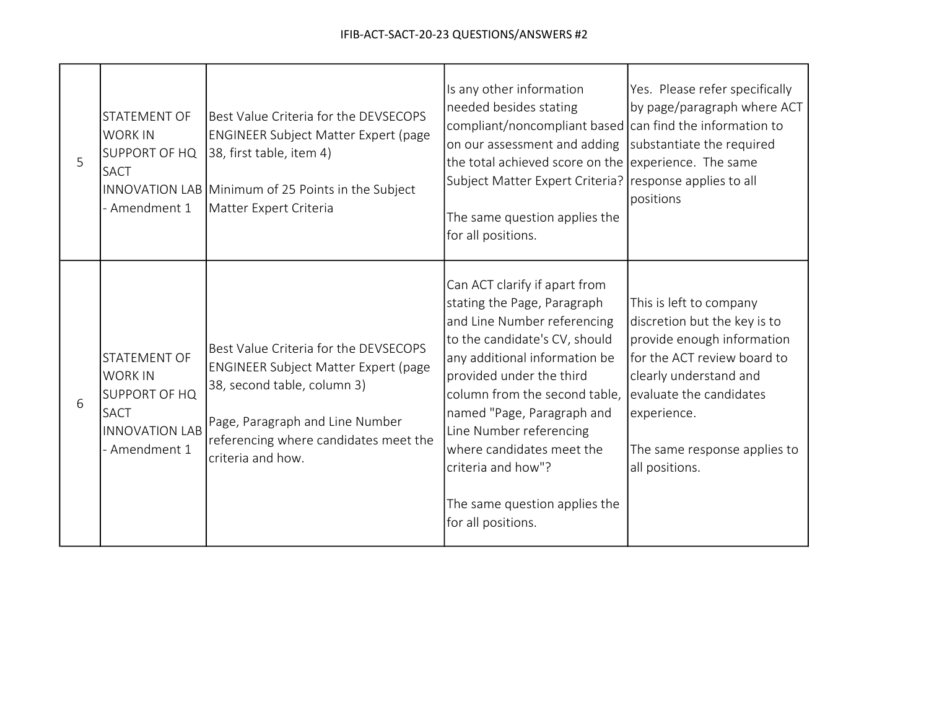| 5 | STATEMENT OF<br><b>WORK IN</b><br>SUPPORT OF HQ<br><b>SACT</b><br>- Amendment 1                                        | Best Value Criteria for the DEVSECOPS<br>ENGINEER Subject Matter Expert (page<br>38, first table, item 4)<br>INNOVATION LAB Minimum of 25 Points in the Subject<br>Matter Expert Criteria                            | Is any other information<br>needed besides stating<br>compliant/noncompliant based can find the information to<br>on our assessment and adding<br>the total achieved score on the experience. The same<br>Subject Matter Expert Criteria? response applies to all<br>The same question applies the<br>for all positions.                                                                      | Yes. Please refer specifically<br>by page/paragraph where ACT<br>substantiate the required<br>positions                                                                                                                                    |
|---|------------------------------------------------------------------------------------------------------------------------|----------------------------------------------------------------------------------------------------------------------------------------------------------------------------------------------------------------------|-----------------------------------------------------------------------------------------------------------------------------------------------------------------------------------------------------------------------------------------------------------------------------------------------------------------------------------------------------------------------------------------------|--------------------------------------------------------------------------------------------------------------------------------------------------------------------------------------------------------------------------------------------|
| 6 | <b>STATEMENT OF</b><br><b>WORK IN</b><br><b>SUPPORT OF HQ</b><br><b>SACT</b><br><b>INNOVATION LAB</b><br>- Amendment 1 | Best Value Criteria for the DEVSECOPS<br><b>ENGINEER Subject Matter Expert (page</b><br>38, second table, column 3)<br>Page, Paragraph and Line Number<br>referencing where candidates meet the<br>criteria and how. | Can ACT clarify if apart from<br>stating the Page, Paragraph<br>and Line Number referencing<br>to the candidate's CV, should<br>any additional information be<br>provided under the third<br>column from the second table,<br>named "Page, Paragraph and<br>Line Number referencing<br>where candidates meet the<br>criteria and how"?<br>The same question applies the<br>for all positions. | This is left to company<br>discretion but the key is to<br>provide enough information<br>for the ACT review board to<br>clearly understand and<br>evaluate the candidates<br>experience.<br>The same response applies to<br>all positions. |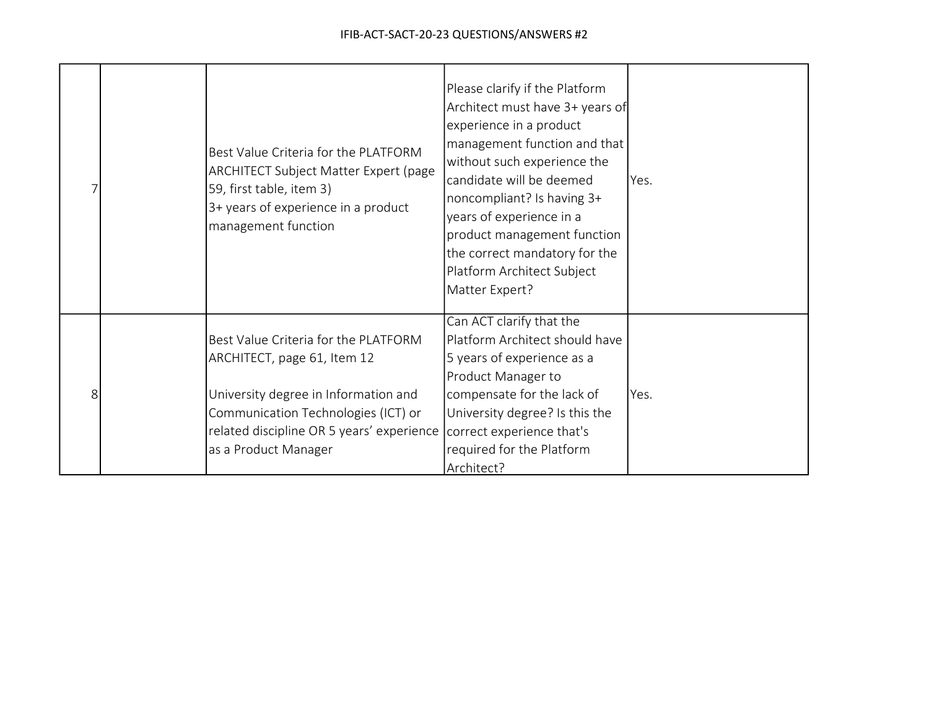|  | Best Value Criteria for the PLATFORM<br><b>ARCHITECT Subject Matter Expert (page</b><br>59, first table, item 3)<br>3+ years of experience in a product<br>management function                                          | Please clarify if the Platform<br>Architect must have 3+ years of<br>experience in a product<br>management function and that<br>without such experience the<br>candidate will be deemed<br>noncompliant? Is having 3+<br>years of experience in a<br>product management function<br>the correct mandatory for the<br>Platform Architect Subject<br>Matter Expert? | Yes. |
|--|-------------------------------------------------------------------------------------------------------------------------------------------------------------------------------------------------------------------------|-------------------------------------------------------------------------------------------------------------------------------------------------------------------------------------------------------------------------------------------------------------------------------------------------------------------------------------------------------------------|------|
|  | Best Value Criteria for the PLATFORM<br>ARCHITECT, page 61, Item 12<br>University degree in Information and<br>Communication Technologies (ICT) or<br>related discipline OR 5 years' experience<br>as a Product Manager | Can ACT clarify that the<br>Platform Architect should have<br>5 years of experience as a<br>Product Manager to<br>compensate for the lack of<br>University degree? Is this the<br>correct experience that's<br>required for the Platform<br>Architect?                                                                                                            | Yes. |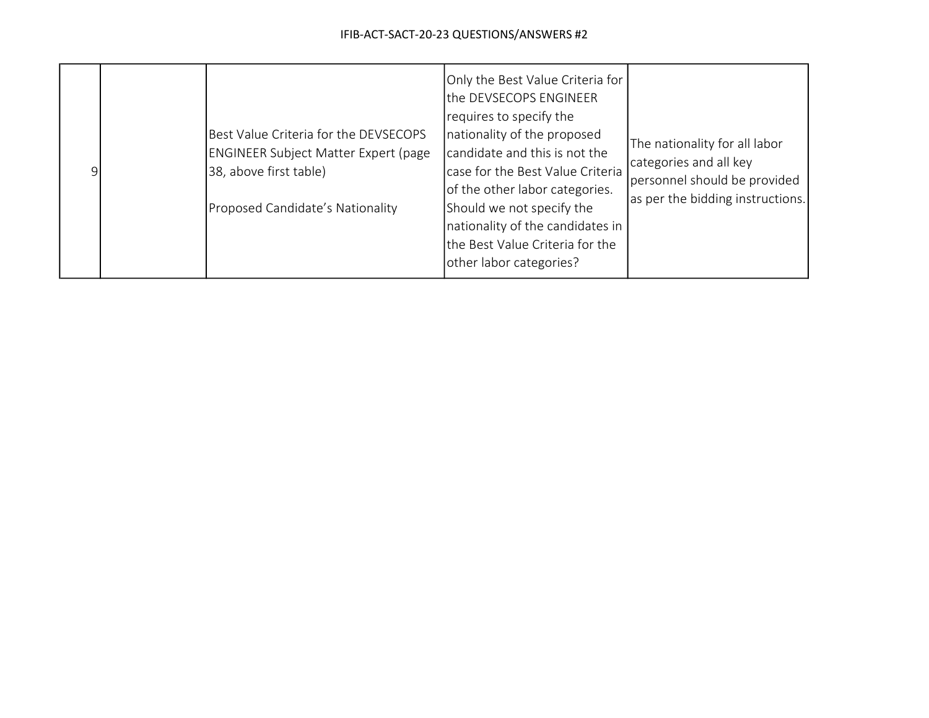| $\mathsf{Q}$ |  | Best Value Criteria for the DEVSECOPS<br><b>ENGINEER Subject Matter Expert (page</b><br>38, above first table)<br>Proposed Candidate's Nationality | Only the Best Value Criteria for<br>the DEVSECOPS ENGINEER<br>requires to specify the<br>nationality of the proposed<br>candidate and this is not the<br>case for the Best Value Criteria<br>of the other labor categories.<br>Should we not specify the<br>nationality of the candidates in<br>the Best Value Criteria for the<br>other labor categories? | The nationality for all labor<br>categories and all key<br>personnel should be provided<br>as per the bidding instructions. |
|--------------|--|----------------------------------------------------------------------------------------------------------------------------------------------------|------------------------------------------------------------------------------------------------------------------------------------------------------------------------------------------------------------------------------------------------------------------------------------------------------------------------------------------------------------|-----------------------------------------------------------------------------------------------------------------------------|
|--------------|--|----------------------------------------------------------------------------------------------------------------------------------------------------|------------------------------------------------------------------------------------------------------------------------------------------------------------------------------------------------------------------------------------------------------------------------------------------------------------------------------------------------------------|-----------------------------------------------------------------------------------------------------------------------------|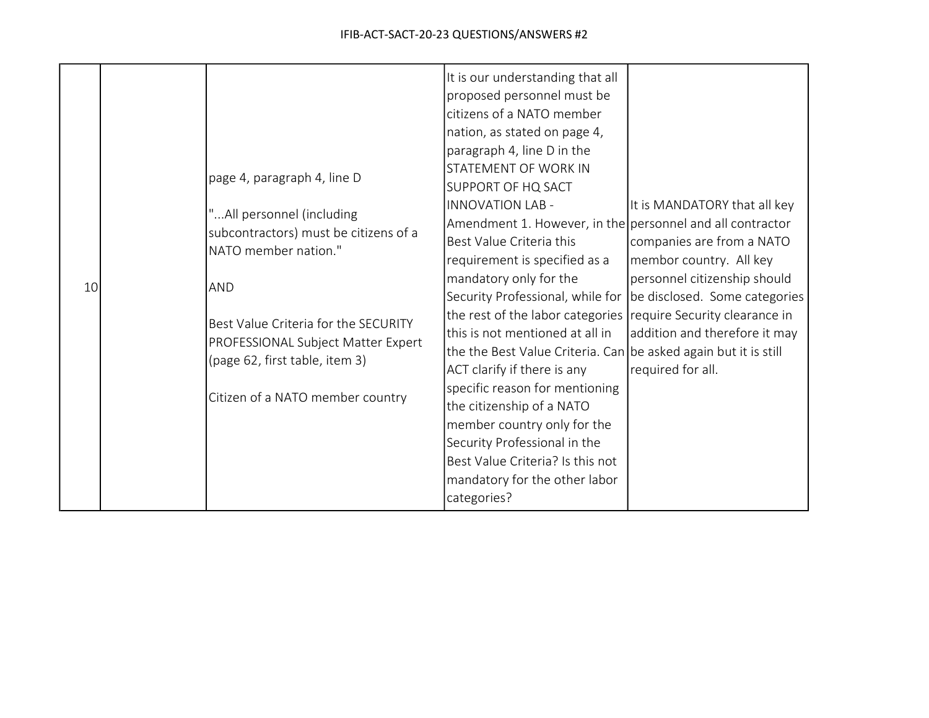|    |  |                                                                      | It is our understanding that all                                |                               |
|----|--|----------------------------------------------------------------------|-----------------------------------------------------------------|-------------------------------|
|    |  |                                                                      | proposed personnel must be                                      |                               |
|    |  |                                                                      | citizens of a NATO member                                       |                               |
|    |  |                                                                      | nation, as stated on page 4,                                    |                               |
|    |  |                                                                      | paragraph 4, line D in the                                      |                               |
|    |  | page 4, paragraph 4, line D                                          | <b>STATEMENT OF WORK IN</b>                                     |                               |
|    |  |                                                                      | <b>SUPPORT OF HQ SACT</b>                                       |                               |
|    |  | "All personnel (including                                            | <b>INNOVATION LAB -</b>                                         | It is MANDATORY that all key  |
|    |  | subcontractors) must be citizens of a                                | Amendment 1. However, in the personnel and all contractor       |                               |
|    |  | NATO member nation."                                                 | Best Value Criteria this                                        | companies are from a NATO     |
|    |  |                                                                      | requirement is specified as a                                   | membor country. All key       |
| 10 |  | AND                                                                  | mandatory only for the                                          | personnel citizenship should  |
|    |  |                                                                      | Security Professional, while for                                | be disclosed. Some categories |
|    |  | Best Value Criteria for the SECURITY                                 | the rest of the labor categories require Security clearance in  |                               |
|    |  | PROFESSIONAL Subject Matter Expert<br>(page 62, first table, item 3) | this is not mentioned at all in                                 | addition and therefore it may |
|    |  |                                                                      | the the Best Value Criteria. Can be asked again but it is still |                               |
|    |  |                                                                      | ACT clarify if there is any                                     | required for all.             |
|    |  | Citizen of a NATO member country                                     | specific reason for mentioning                                  |                               |
|    |  |                                                                      | the citizenship of a NATO                                       |                               |
|    |  |                                                                      | member country only for the                                     |                               |
|    |  |                                                                      | Security Professional in the                                    |                               |
|    |  |                                                                      | Best Value Criteria? Is this not                                |                               |
|    |  |                                                                      | mandatory for the other labor                                   |                               |
|    |  |                                                                      | categories?                                                     |                               |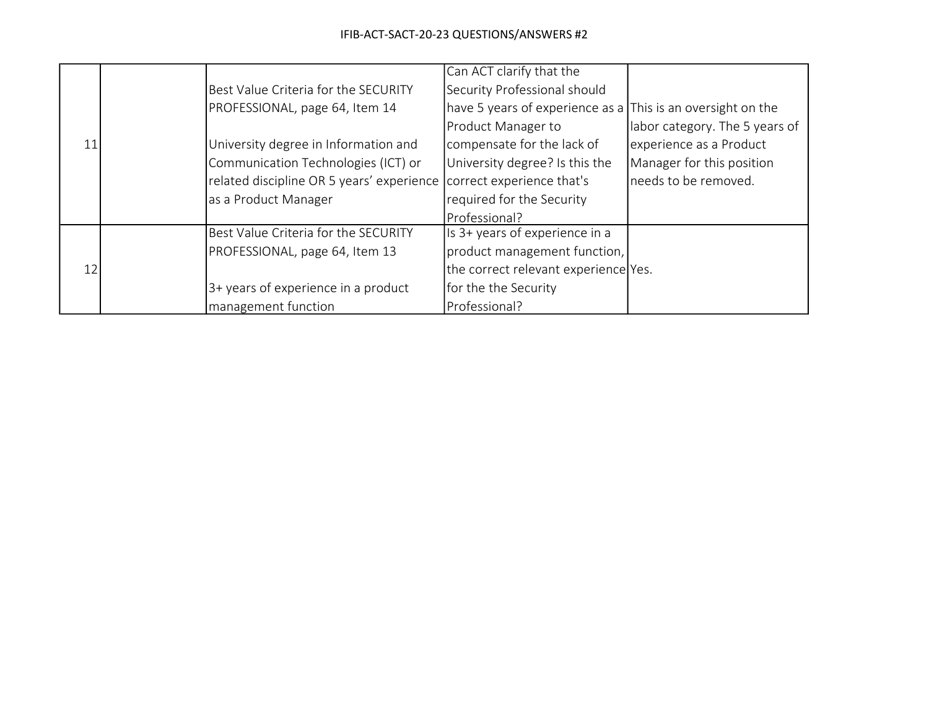|    |                                           | Can ACT clarify that the                                    |                                |
|----|-------------------------------------------|-------------------------------------------------------------|--------------------------------|
|    | Best Value Criteria for the SECURITY      | Security Professional should                                |                                |
|    | PROFESSIONAL, page 64, Item 14            | have 5 years of experience as a This is an oversight on the |                                |
|    |                                           | Product Manager to                                          | labor category. The 5 years of |
| 11 | University degree in Information and      | compensate for the lack of                                  | experience as a Product        |
|    | Communication Technologies (ICT) or       | University degree? Is this the                              | Manager for this position      |
|    | related discipline OR 5 years' experience | correct experience that's                                   | needs to be removed.           |
|    | as a Product Manager                      | required for the Security                                   |                                |
|    |                                           | Professional?                                               |                                |
|    | Best Value Criteria for the SECURITY      | Is 3+ years of experience in a                              |                                |
|    | PROFESSIONAL, page 64, Item 13            | product management function,                                |                                |
| 12 |                                           | the correct relevant experience Yes.                        |                                |
|    | 3+ years of experience in a product       | for the the Security                                        |                                |
|    | management function                       | Professional?                                               |                                |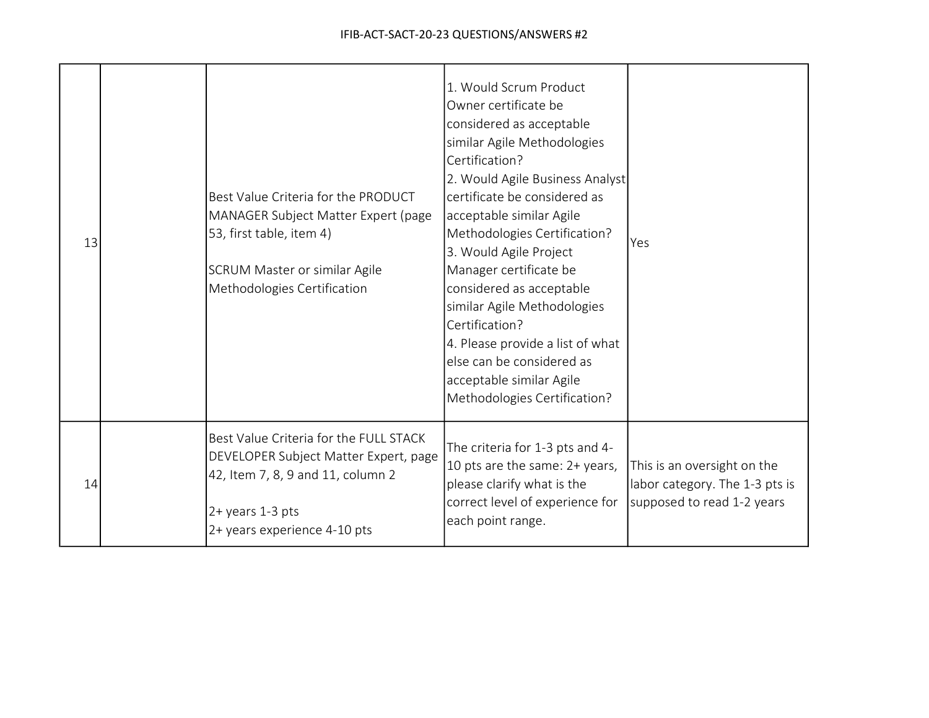| 13 | Best Value Criteria for the PRODUCT<br>MANAGER Subject Matter Expert (page<br>53, first table, item 4)<br>SCRUM Master or similar Agile<br>Methodologies Certification   | 1. Would Scrum Product<br>Owner certificate be<br>considered as acceptable<br>similar Agile Methodologies<br>Certification?<br>2. Would Agile Business Analyst<br>certificate be considered as<br>acceptable similar Agile<br>Methodologies Certification?<br>3. Would Agile Project<br>Manager certificate be<br>considered as acceptable<br>similar Agile Methodologies<br>Certification?<br>4. Please provide a list of what<br>else can be considered as<br>acceptable similar Agile<br>Methodologies Certification? | Yes                                                                                         |
|----|--------------------------------------------------------------------------------------------------------------------------------------------------------------------------|--------------------------------------------------------------------------------------------------------------------------------------------------------------------------------------------------------------------------------------------------------------------------------------------------------------------------------------------------------------------------------------------------------------------------------------------------------------------------------------------------------------------------|---------------------------------------------------------------------------------------------|
| 14 | Best Value Criteria for the FULL STACK<br>DEVELOPER Subject Matter Expert, page<br>42, Item 7, 8, 9 and 11, column 2<br>2+ years 1-3 pts<br>2+ years experience 4-10 pts | The criteria for 1-3 pts and 4-<br>10 pts are the same: 2+ years,<br>please clarify what is the<br>correct level of experience for<br>each point range.                                                                                                                                                                                                                                                                                                                                                                  | This is an oversight on the<br>labor category. The 1-3 pts is<br>supposed to read 1-2 years |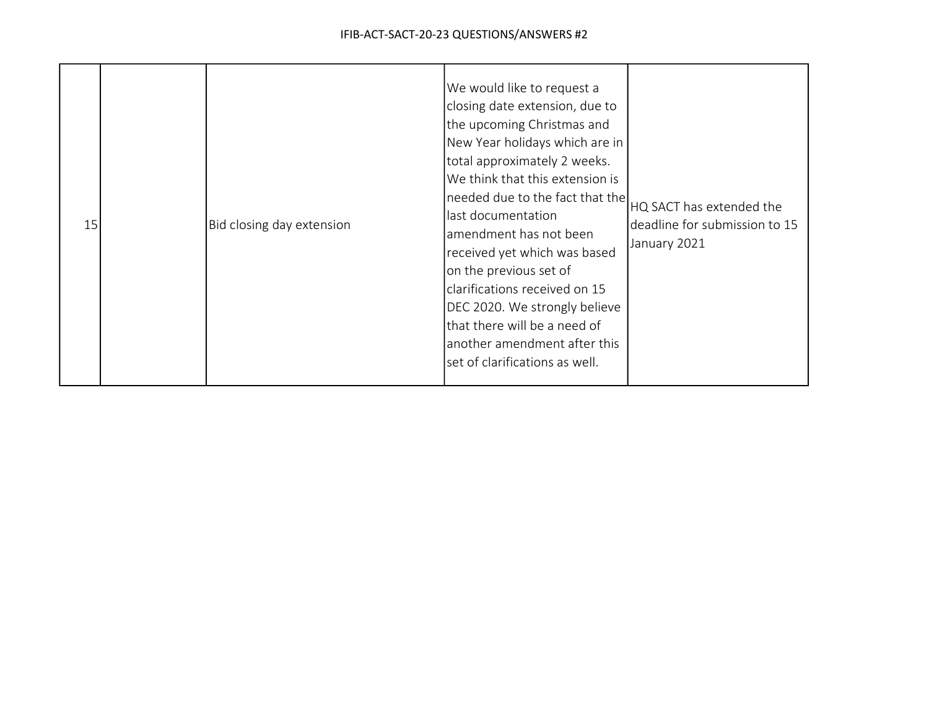| 15 |  | Bid closing day extension | We would like to request a<br>closing date extension, due to<br>the upcoming Christmas and<br>New Year holidays which are in<br>total approximately 2 weeks.<br>We think that this extension is<br>ineeded due to the fact that the HQ SACT has extended the<br>last documentation<br>lamendment has not been<br>received yet which was based<br>on the previous set of<br>clarifications received on 15<br>DEC 2020. We strongly believe<br>that there will be a need of<br>another amendment after this<br>set of clarifications as well. | deadline for submission to 15<br>January 2021 |
|----|--|---------------------------|---------------------------------------------------------------------------------------------------------------------------------------------------------------------------------------------------------------------------------------------------------------------------------------------------------------------------------------------------------------------------------------------------------------------------------------------------------------------------------------------------------------------------------------------|-----------------------------------------------|
|----|--|---------------------------|---------------------------------------------------------------------------------------------------------------------------------------------------------------------------------------------------------------------------------------------------------------------------------------------------------------------------------------------------------------------------------------------------------------------------------------------------------------------------------------------------------------------------------------------|-----------------------------------------------|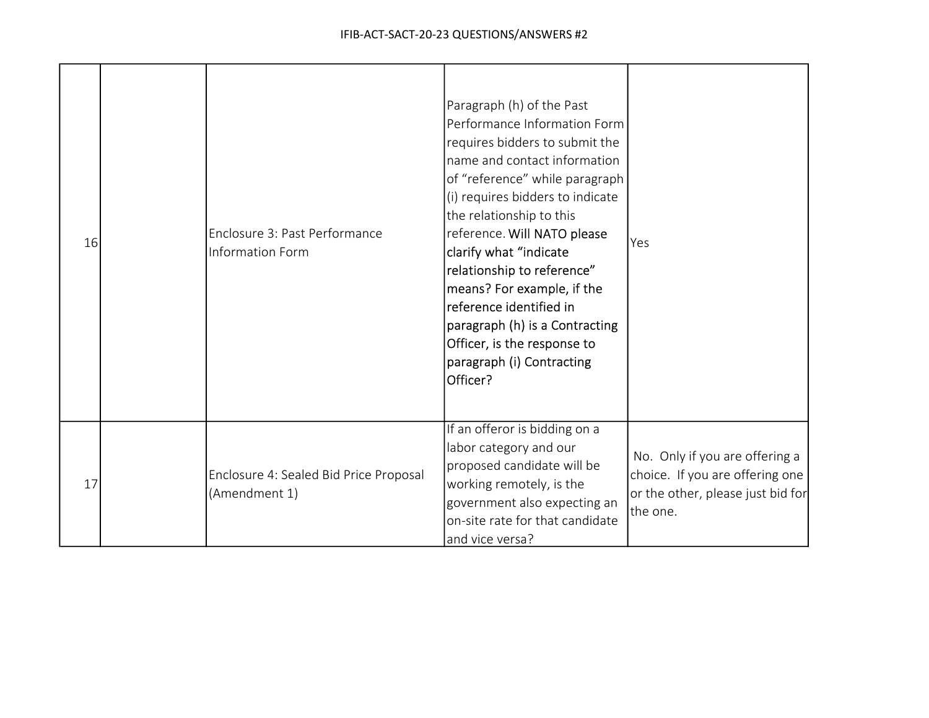| 16 | Enclosure 3: Past Performance<br><b>Information Form</b> | Paragraph (h) of the Past<br>Performance Information Form<br>requires bidders to submit the<br>name and contact information<br>of "reference" while paragraph<br>(i) requires bidders to indicate<br>the relationship to this<br>reference. Will NATO please<br>clarify what "indicate<br>relationship to reference"<br>means? For example, if the<br>reference identified in<br>paragraph (h) is a Contracting<br>Officer, is the response to<br>paragraph (i) Contracting<br>Officer? | Yes                                                                                                                |
|----|----------------------------------------------------------|-----------------------------------------------------------------------------------------------------------------------------------------------------------------------------------------------------------------------------------------------------------------------------------------------------------------------------------------------------------------------------------------------------------------------------------------------------------------------------------------|--------------------------------------------------------------------------------------------------------------------|
| 17 | Enclosure 4: Sealed Bid Price Proposal<br>(Amendment 1)  | If an offeror is bidding on a<br>labor category and our<br>proposed candidate will be<br>working remotely, is the<br>government also expecting an<br>on-site rate for that candidate<br>and vice versa?                                                                                                                                                                                                                                                                                 | No. Only if you are offering a<br>choice. If you are offering one<br>or the other, please just bid for<br>the one. |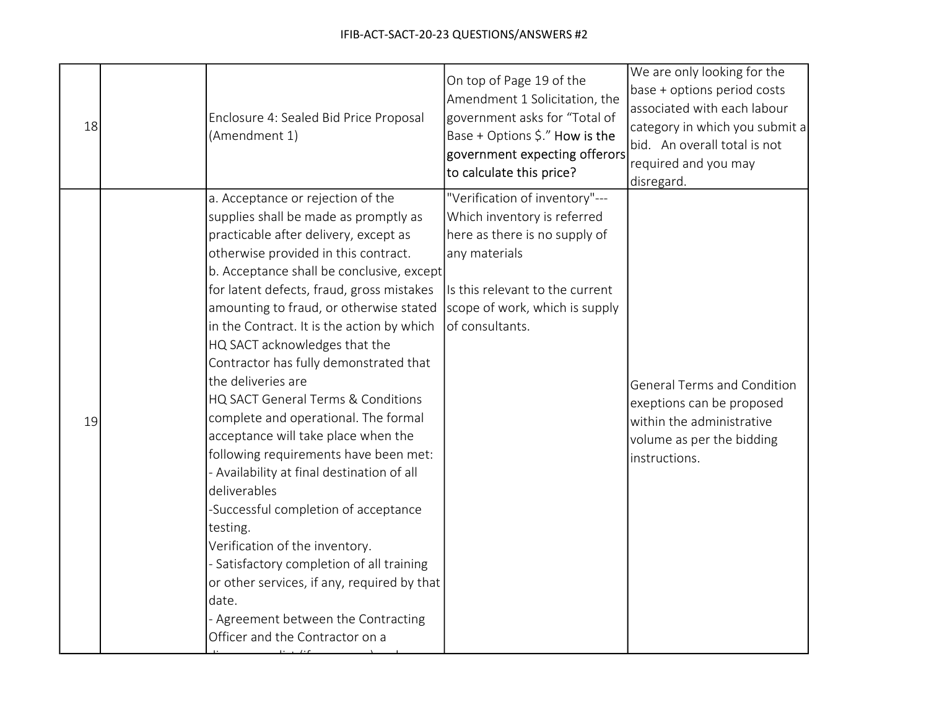| 18 | Enclosure 4: Sealed Bid Price Proposal<br>(Amendment 1)                                                                                                                                                                                                                                                                                                                                                                                                                                                                                                                                                                                                                                                                                                                                                                                                                                                                                        | On top of Page 19 of the<br>Amendment 1 Solicitation, the<br>government asks for "Total of<br>Base + Options \$." How is the<br>government expecting offerors<br>to calculate this price?               | We are only looking for the<br>base + options period costs<br>associated with each labour<br>category in which you submit a<br>bid. An overall total is not<br>required and you may<br>disregard. |
|----|------------------------------------------------------------------------------------------------------------------------------------------------------------------------------------------------------------------------------------------------------------------------------------------------------------------------------------------------------------------------------------------------------------------------------------------------------------------------------------------------------------------------------------------------------------------------------------------------------------------------------------------------------------------------------------------------------------------------------------------------------------------------------------------------------------------------------------------------------------------------------------------------------------------------------------------------|---------------------------------------------------------------------------------------------------------------------------------------------------------------------------------------------------------|---------------------------------------------------------------------------------------------------------------------------------------------------------------------------------------------------|
| 19 | a. Acceptance or rejection of the<br>supplies shall be made as promptly as<br>practicable after delivery, except as<br>otherwise provided in this contract.<br>b. Acceptance shall be conclusive, except<br>for latent defects, fraud, gross mistakes<br>amounting to fraud, or otherwise stated<br>in the Contract. It is the action by which<br>HQ SACT acknowledges that the<br>Contractor has fully demonstrated that<br>the deliveries are<br>HQ SACT General Terms & Conditions<br>complete and operational. The formal<br>acceptance will take place when the<br>following requirements have been met:<br>- Availability at final destination of all<br>deliverables<br>-Successful completion of acceptance<br>testing.<br>Verification of the inventory.<br>Satisfactory completion of all training<br>or other services, if any, required by that<br>date.<br>- Agreement between the Contracting<br>Officer and the Contractor on a | "Verification of inventory"---<br>Which inventory is referred<br>here as there is no supply of<br>any materials<br>Is this relevant to the current<br>scope of work, which is supply<br>of consultants. | <b>General Terms and Condition</b><br>exeptions can be proposed<br>within the administrative<br>volume as per the bidding<br>instructions.                                                        |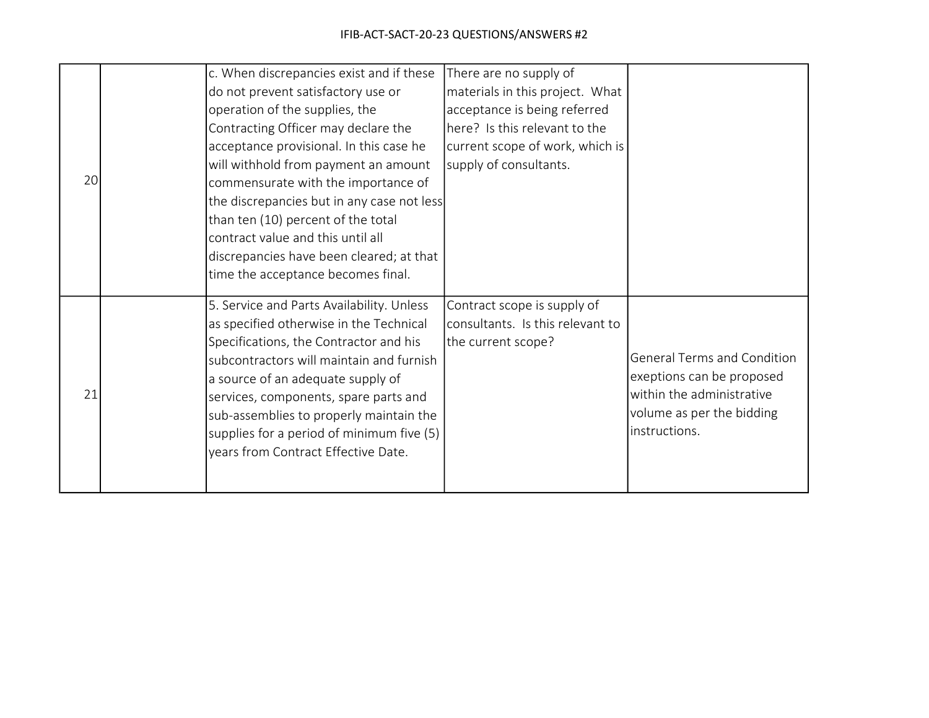|    | c. When discrepancies exist and if these   | There are no supply of           |                                    |
|----|--------------------------------------------|----------------------------------|------------------------------------|
|    | do not prevent satisfactory use or         | materials in this project. What  |                                    |
|    | operation of the supplies, the             | acceptance is being referred     |                                    |
|    | Contracting Officer may declare the        | here? Is this relevant to the    |                                    |
|    | acceptance provisional. In this case he    | current scope of work, which is  |                                    |
|    | will withhold from payment an amount       | supply of consultants.           |                                    |
| 20 | commensurate with the importance of        |                                  |                                    |
|    | the discrepancies but in any case not less |                                  |                                    |
|    | than ten (10) percent of the total         |                                  |                                    |
|    | contract value and this until all          |                                  |                                    |
|    | discrepancies have been cleared; at that   |                                  |                                    |
|    | time the acceptance becomes final.         |                                  |                                    |
|    | 5. Service and Parts Availability. Unless  | Contract scope is supply of      |                                    |
|    | as specified otherwise in the Technical    | consultants. Is this relevant to |                                    |
|    | Specifications, the Contractor and his     | the current scope?               |                                    |
|    | subcontractors will maintain and furnish   |                                  | <b>General Terms and Condition</b> |
|    | a source of an adequate supply of          |                                  | exeptions can be proposed          |
| 21 | services, components, spare parts and      |                                  | within the administrative          |
|    | sub-assemblies to properly maintain the    |                                  | volume as per the bidding          |
|    | supplies for a period of minimum five (5)  |                                  | linstructions.                     |
|    | years from Contract Effective Date.        |                                  |                                    |
|    |                                            |                                  |                                    |
|    |                                            |                                  |                                    |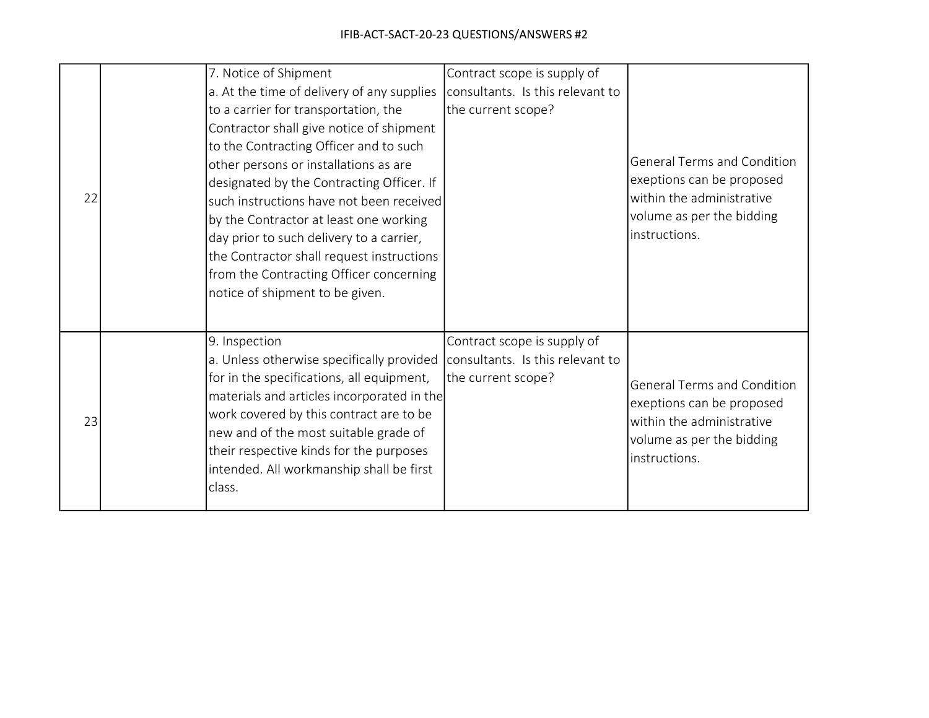| 22 | 7. Notice of Shipment<br>a. At the time of delivery of any supplies<br>to a carrier for transportation, the<br>Contractor shall give notice of shipment<br>to the Contracting Officer and to such<br>other persons or installations as are<br>designated by the Contracting Officer. If<br>such instructions have not been received<br>by the Contractor at least one working<br>day prior to such delivery to a carrier,<br>the Contractor shall request instructions<br>from the Contracting Officer concerning<br>notice of shipment to be given. | Contract scope is supply of<br>consultants. Is this relevant to<br>the current scope? | <b>General Terms and Condition</b><br>exeptions can be proposed<br>within the administrative<br>volume as per the bidding<br>instructions. |
|----|------------------------------------------------------------------------------------------------------------------------------------------------------------------------------------------------------------------------------------------------------------------------------------------------------------------------------------------------------------------------------------------------------------------------------------------------------------------------------------------------------------------------------------------------------|---------------------------------------------------------------------------------------|--------------------------------------------------------------------------------------------------------------------------------------------|
| 23 | 9. Inspection<br>a. Unless otherwise specifically provided consultants. Is this relevant to<br>for in the specifications, all equipment,<br>materials and articles incorporated in the<br>work covered by this contract are to be<br>new and of the most suitable grade of<br>their respective kinds for the purposes<br>intended. All workmanship shall be first<br>class.                                                                                                                                                                          | Contract scope is supply of<br>the current scope?                                     | <b>General Terms and Condition</b><br>exeptions can be proposed<br>within the administrative<br>volume as per the bidding<br>instructions. |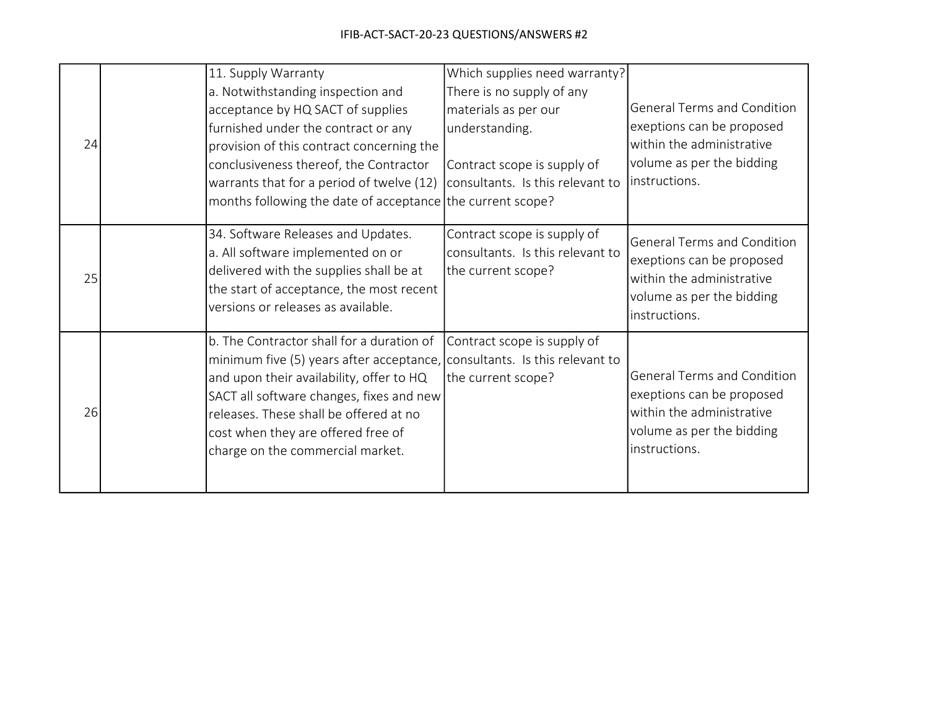|    |                                                                                                                                                                | 11. Supply Warranty                                                       | Which supplies need warranty?    |                                            |
|----|----------------------------------------------------------------------------------------------------------------------------------------------------------------|---------------------------------------------------------------------------|----------------------------------|--------------------------------------------|
|    |                                                                                                                                                                | a. Notwithstanding inspection and                                         | There is no supply of any        |                                            |
|    |                                                                                                                                                                | acceptance by HQ SACT of supplies                                         | materials as per our             | <b>General Terms and Condition</b>         |
|    |                                                                                                                                                                | furnished under the contract or any                                       | understanding.                   | exeptions can be proposed                  |
| 24 |                                                                                                                                                                | provision of this contract concerning the                                 |                                  | within the administrative                  |
|    |                                                                                                                                                                | conclusiveness thereof, the Contractor                                    | Contract scope is supply of      | volume as per the bidding                  |
|    |                                                                                                                                                                | warrants that for a period of twelve (12)                                 | consultants. Is this relevant to | linstructions.                             |
|    |                                                                                                                                                                | months following the date of acceptance the current scope?                |                                  |                                            |
|    |                                                                                                                                                                | 34. Software Releases and Updates.                                        | Contract scope is supply of      | <b>General Terms and Condition</b>         |
|    | a. All software implemented on or<br>delivered with the supplies shall be at<br>the start of acceptance, the most recent<br>versions or releases as available. |                                                                           | consultants. Is this relevant to | exeptions can be proposed                  |
| 25 |                                                                                                                                                                |                                                                           | the current scope?               | within the administrative                  |
|    |                                                                                                                                                                |                                                                           | volume as per the bidding        |                                            |
|    |                                                                                                                                                                |                                                                           |                                  | instructions.                              |
|    |                                                                                                                                                                | b. The Contractor shall for a duration of                                 | Contract scope is supply of      |                                            |
|    |                                                                                                                                                                | minimum five (5) years after acceptance, consultants. Is this relevant to |                                  |                                            |
|    |                                                                                                                                                                | and upon their availability, offer to HQ                                  | the current scope?               | <b>General Terms and Condition</b>         |
| 26 |                                                                                                                                                                | SACT all software changes, fixes and new                                  |                                  | exeptions can be proposed                  |
|    |                                                                                                                                                                | releases. These shall be offered at no                                    |                                  | within the administrative                  |
|    |                                                                                                                                                                | cost when they are offered free of                                        |                                  | volume as per the bidding<br>instructions. |
|    |                                                                                                                                                                | charge on the commercial market.                                          |                                  |                                            |
|    |                                                                                                                                                                |                                                                           |                                  |                                            |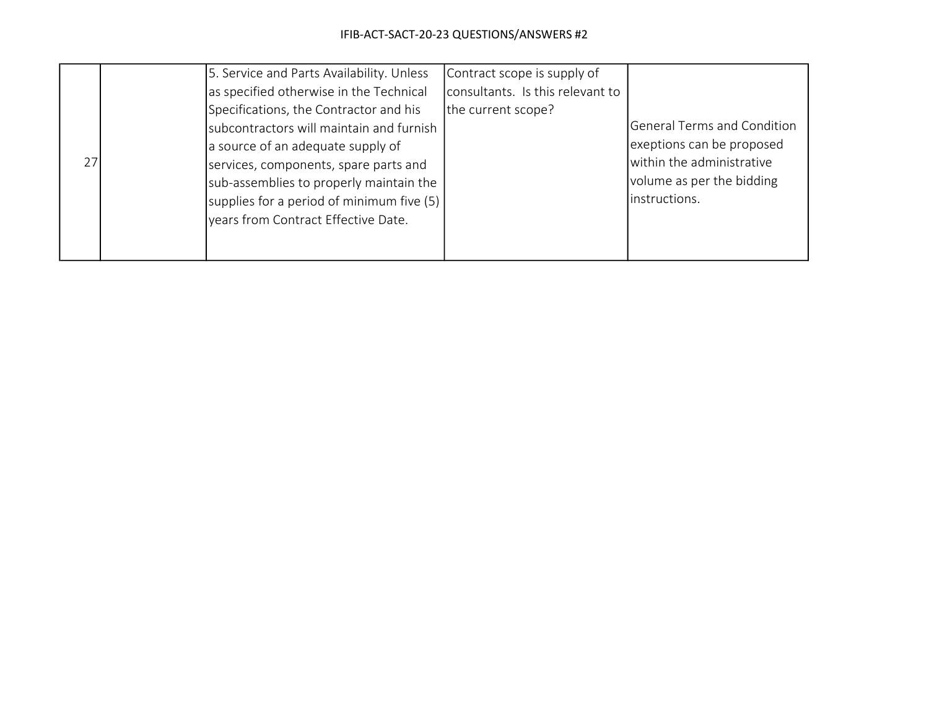|    | 5. Service and Parts Availability. Unless | Contract scope is supply of      |                                    |
|----|-------------------------------------------|----------------------------------|------------------------------------|
|    | as specified otherwise in the Technical   | consultants. Is this relevant to |                                    |
|    | Specifications, the Contractor and his    | the current scope?               |                                    |
|    | subcontractors will maintain and furnish  |                                  | <b>General Terms and Condition</b> |
|    | a source of an adequate supply of         |                                  | exeptions can be proposed          |
| 27 | services, components, spare parts and     |                                  | within the administrative          |
|    | sub-assemblies to properly maintain the   |                                  | volume as per the bidding          |
|    | supplies for a period of minimum five (5) |                                  | instructions.                      |
|    | vears from Contract Effective Date.       |                                  |                                    |
|    |                                           |                                  |                                    |
|    |                                           |                                  |                                    |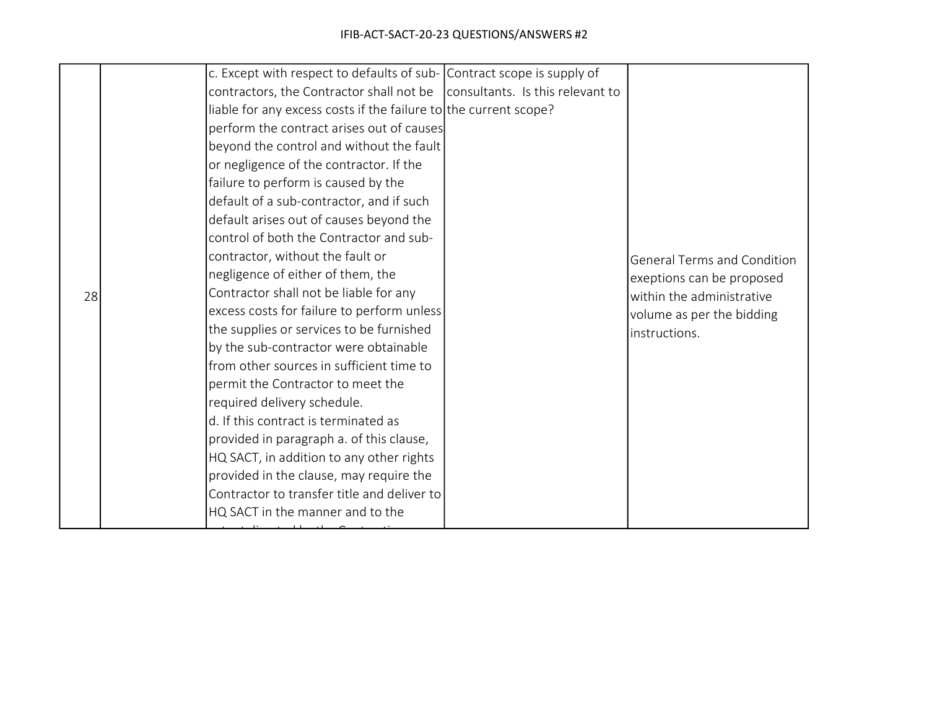|    | c. Except with respect to defaults of sub- Contract scope is supply of            |                                    |
|----|-----------------------------------------------------------------------------------|------------------------------------|
|    | contractors, the Contractor shall not be $\vert$ consultants. Is this relevant to |                                    |
|    | liable for any excess costs if the failure to the current scope?                  |                                    |
|    | perform the contract arises out of causes                                         |                                    |
|    | beyond the control and without the fault                                          |                                    |
|    | or negligence of the contractor. If the                                           |                                    |
|    | failure to perform is caused by the                                               |                                    |
|    | default of a sub-contractor, and if such                                          |                                    |
|    | default arises out of causes beyond the                                           |                                    |
|    | control of both the Contractor and sub-                                           |                                    |
|    | contractor, without the fault or                                                  | <b>General Terms and Condition</b> |
|    | negligence of either of them, the                                                 | exeptions can be proposed          |
| 28 | Contractor shall not be liable for any                                            | within the administrative          |
|    | excess costs for failure to perform unless                                        | volume as per the bidding          |
|    | the supplies or services to be furnished                                          | linstructions.                     |
|    | by the sub-contractor were obtainable                                             |                                    |
|    | from other sources in sufficient time to                                          |                                    |
|    | permit the Contractor to meet the                                                 |                                    |
|    | required delivery schedule.                                                       |                                    |
|    | d. If this contract is terminated as                                              |                                    |
|    | provided in paragraph a. of this clause,                                          |                                    |
|    | HQ SACT, in addition to any other rights                                          |                                    |
|    | provided in the clause, may require the                                           |                                    |
|    | Contractor to transfer title and deliver to                                       |                                    |
|    | HQ SACT in the manner and to the                                                  |                                    |
|    |                                                                                   |                                    |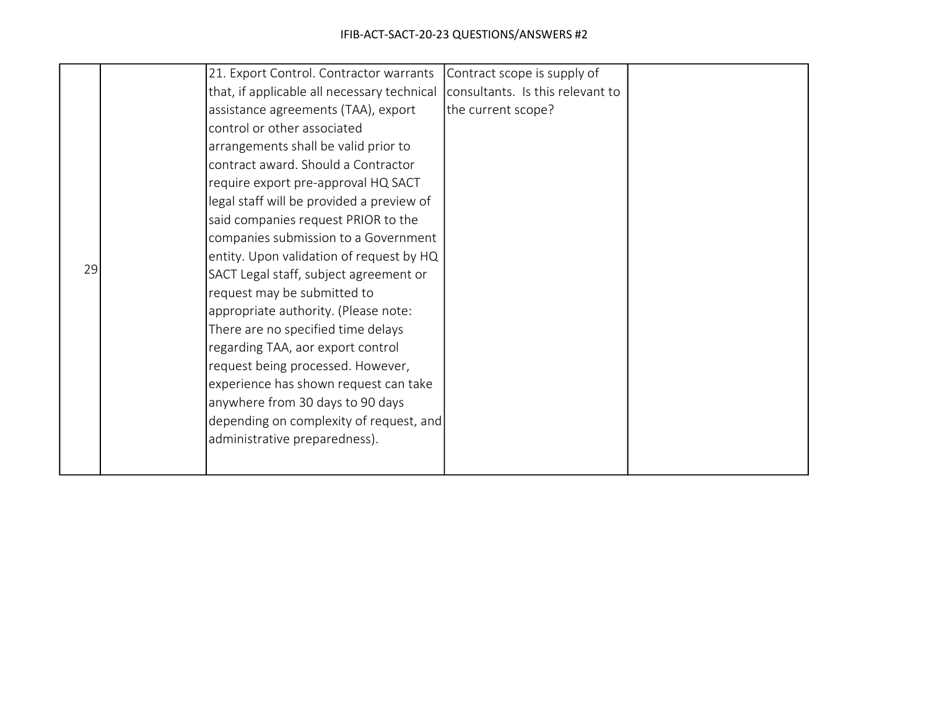|    | 21. Export Control. Contractor warrants     | Contract scope is supply of      |  |
|----|---------------------------------------------|----------------------------------|--|
|    | that, if applicable all necessary technical | consultants. Is this relevant to |  |
|    | assistance agreements (TAA), export         | the current scope?               |  |
|    | control or other associated                 |                                  |  |
|    | arrangements shall be valid prior to        |                                  |  |
|    | contract award. Should a Contractor         |                                  |  |
|    | require export pre-approval HQ SACT         |                                  |  |
|    | legal staff will be provided a preview of   |                                  |  |
|    | said companies request PRIOR to the         |                                  |  |
|    | companies submission to a Government        |                                  |  |
|    | entity. Upon validation of request by HQ    |                                  |  |
| 29 | SACT Legal staff, subject agreement or      |                                  |  |
|    | request may be submitted to                 |                                  |  |
|    | appropriate authority. (Please note:        |                                  |  |
|    | There are no specified time delays          |                                  |  |
|    | regarding TAA, aor export control           |                                  |  |
|    | request being processed. However,           |                                  |  |
|    | experience has shown request can take       |                                  |  |
|    | anywhere from 30 days to 90 days            |                                  |  |
|    | depending on complexity of request, and     |                                  |  |
|    | administrative preparedness).               |                                  |  |
|    |                                             |                                  |  |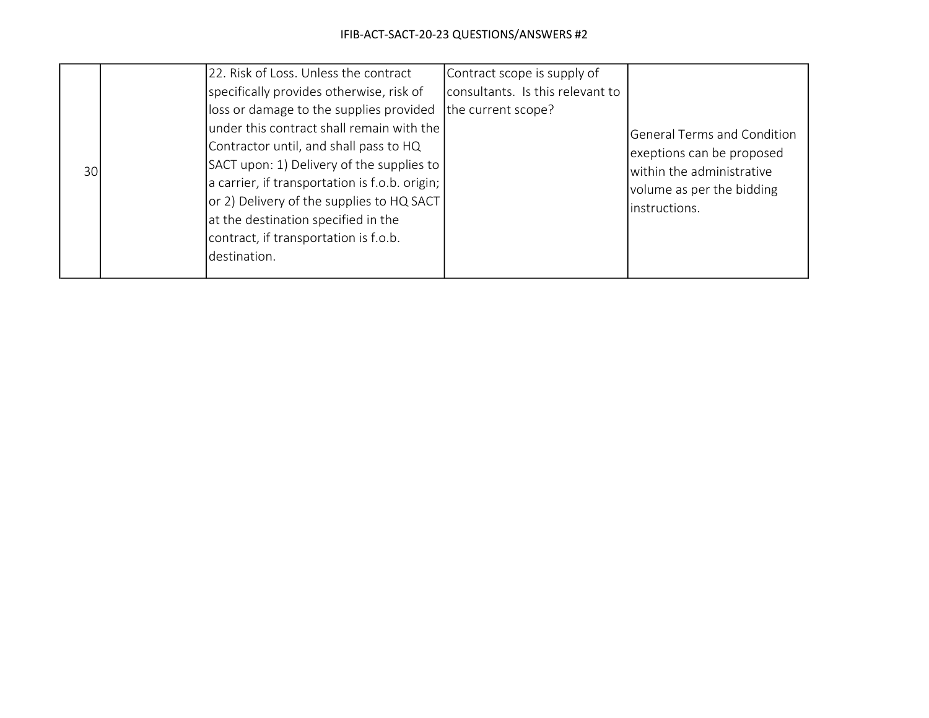|     |  | 22. Risk of Loss. Unless the contract          | Contract scope is supply of      |                                    |
|-----|--|------------------------------------------------|----------------------------------|------------------------------------|
|     |  | specifically provides otherwise, risk of       | consultants. Is this relevant to |                                    |
|     |  | loss or damage to the supplies provided        | the current scope?               |                                    |
|     |  | under this contract shall remain with the      |                                  | <b>General Terms and Condition</b> |
| 30I |  | Contractor until, and shall pass to HQ         |                                  | exeptions can be proposed          |
|     |  | SACT upon: 1) Delivery of the supplies to      |                                  | within the administrative          |
|     |  | a carrier, if transportation is f.o.b. origin; |                                  | volume as per the bidding          |
|     |  | or 2) Delivery of the supplies to HQ SACT      |                                  | instructions.                      |
|     |  | at the destination specified in the            |                                  |                                    |
|     |  | contract, if transportation is f.o.b.          |                                  |                                    |
|     |  | destination.                                   |                                  |                                    |
|     |  |                                                |                                  |                                    |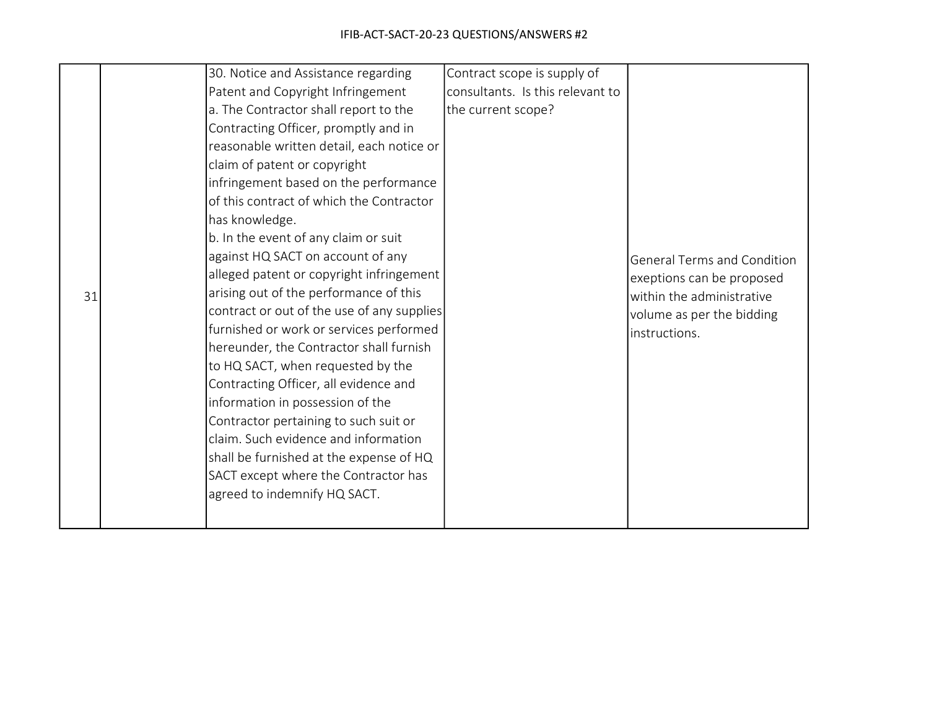|    | 30. Notice and Assistance regarding        | Contract scope is supply of      |                                    |
|----|--------------------------------------------|----------------------------------|------------------------------------|
|    | Patent and Copyright Infringement          | consultants. Is this relevant to |                                    |
|    | a. The Contractor shall report to the      | the current scope?               |                                    |
|    | Contracting Officer, promptly and in       |                                  |                                    |
|    | reasonable written detail, each notice or  |                                  |                                    |
|    | claim of patent or copyright               |                                  |                                    |
|    | infringement based on the performance      |                                  |                                    |
|    | of this contract of which the Contractor   |                                  |                                    |
|    | has knowledge.                             |                                  |                                    |
|    | b. In the event of any claim or suit       |                                  |                                    |
|    | against HQ SACT on account of any          |                                  | <b>General Terms and Condition</b> |
|    | alleged patent or copyright infringement   |                                  | exeptions can be proposed          |
| 31 | arising out of the performance of this     |                                  | within the administrative          |
|    | contract or out of the use of any supplies |                                  | volume as per the bidding          |
|    | furnished or work or services performed    |                                  | instructions.                      |
|    | hereunder, the Contractor shall furnish    |                                  |                                    |
|    | to HQ SACT, when requested by the          |                                  |                                    |
|    | Contracting Officer, all evidence and      |                                  |                                    |
|    | information in possession of the           |                                  |                                    |
|    | Contractor pertaining to such suit or      |                                  |                                    |
|    | claim. Such evidence and information       |                                  |                                    |
|    | shall be furnished at the expense of HQ    |                                  |                                    |
|    | SACT except where the Contractor has       |                                  |                                    |
|    | agreed to indemnify HQ SACT.               |                                  |                                    |
|    |                                            |                                  |                                    |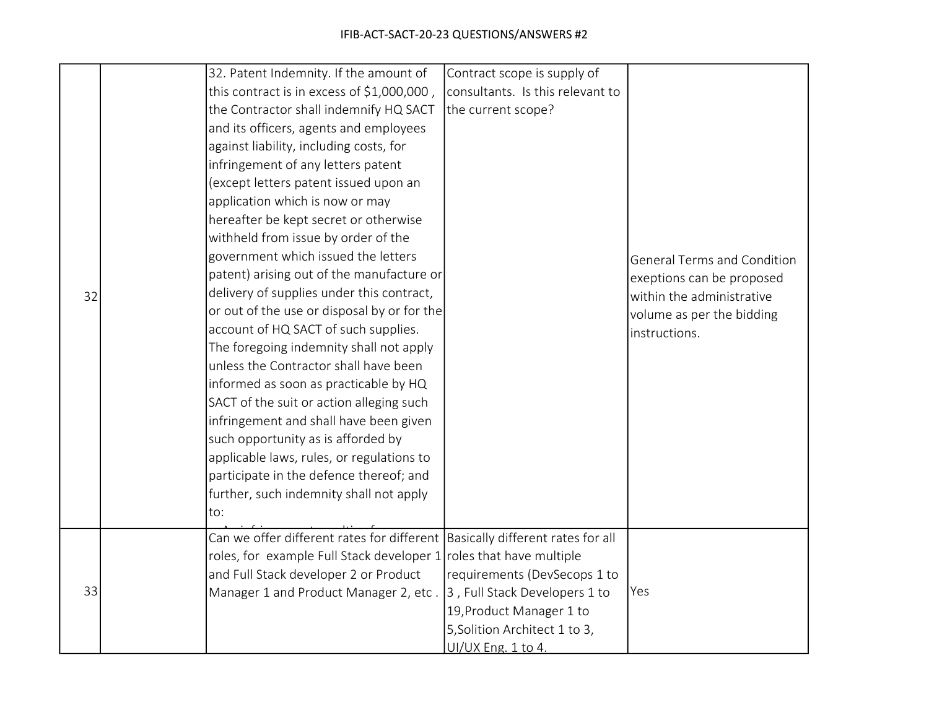|    | 32. Patent Indemnity. If the amount of                                         | Contract scope is supply of      |                                    |
|----|--------------------------------------------------------------------------------|----------------------------------|------------------------------------|
|    | this contract is in excess of \$1,000,000,                                     | consultants. Is this relevant to |                                    |
|    | the Contractor shall indemnify HQ SACT                                         | the current scope?               |                                    |
|    | and its officers, agents and employees                                         |                                  |                                    |
|    | against liability, including costs, for                                        |                                  |                                    |
|    | infringement of any letters patent                                             |                                  |                                    |
|    | (except letters patent issued upon an                                          |                                  |                                    |
|    | application which is now or may                                                |                                  |                                    |
|    | hereafter be kept secret or otherwise                                          |                                  |                                    |
|    | withheld from issue by order of the                                            |                                  |                                    |
|    | government which issued the letters                                            |                                  | <b>General Terms and Condition</b> |
|    | patent) arising out of the manufacture or                                      |                                  | exeptions can be proposed          |
| 32 | delivery of supplies under this contract,                                      |                                  | within the administrative          |
|    | or out of the use or disposal by or for the                                    |                                  | volume as per the bidding          |
|    | account of HQ SACT of such supplies.                                           |                                  | instructions.                      |
|    | The foregoing indemnity shall not apply                                        |                                  |                                    |
|    | unless the Contractor shall have been                                          |                                  |                                    |
|    | informed as soon as practicable by HQ                                          |                                  |                                    |
|    | SACT of the suit or action alleging such                                       |                                  |                                    |
|    | infringement and shall have been given                                         |                                  |                                    |
|    | such opportunity as is afforded by                                             |                                  |                                    |
|    | applicable laws, rules, or regulations to                                      |                                  |                                    |
|    | participate in the defence thereof; and                                        |                                  |                                    |
|    | further, such indemnity shall not apply                                        |                                  |                                    |
|    | to:                                                                            |                                  |                                    |
|    | Can we offer different rates for different   Basically different rates for all |                                  |                                    |
|    | roles, for example Full Stack developer 1                                      | roles that have multiple         |                                    |
|    | and Full Stack developer 2 or Product                                          | requirements (DevSecops 1 to     |                                    |
| 33 | Manager 1 and Product Manager 2, etc.                                          | 3, Full Stack Developers 1 to    | Yes                                |
|    |                                                                                | 19, Product Manager 1 to         |                                    |
|    |                                                                                | 5, Solition Architect 1 to 3,    |                                    |
|    |                                                                                | UI/UX Eng. 1 to 4.               |                                    |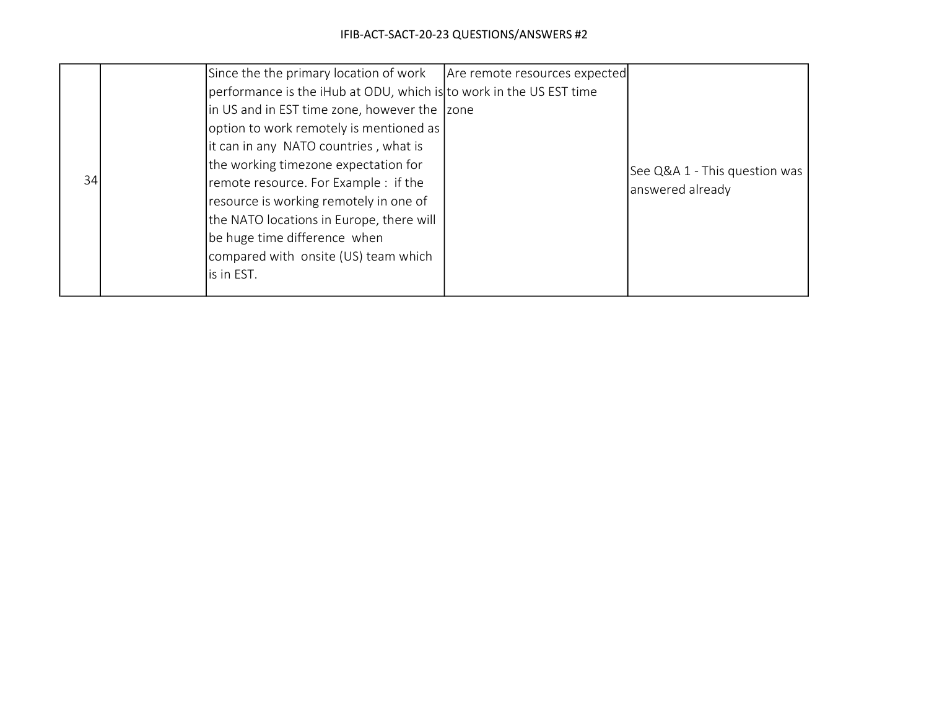|    |  | Since the the primary location of work                              | Are remote resources expected |                               |
|----|--|---------------------------------------------------------------------|-------------------------------|-------------------------------|
|    |  | performance is the iHub at ODU, which is to work in the US EST time |                               |                               |
|    |  | in US and in EST time zone, however the 2one                        |                               |                               |
|    |  | option to work remotely is mentioned as                             |                               |                               |
| 34 |  | it can in any NATO countries, what is                               |                               |                               |
|    |  | the working timezone expectation for                                |                               | See Q&A 1 - This question was |
|    |  | remote resource. For Example : if the                               |                               | answered already              |
|    |  | resource is working remotely in one of                              |                               |                               |
|    |  | the NATO locations in Europe, there will                            |                               |                               |
|    |  | be huge time difference when                                        |                               |                               |
|    |  | compared with onsite (US) team which                                |                               |                               |
|    |  | is in EST.                                                          |                               |                               |
|    |  |                                                                     |                               |                               |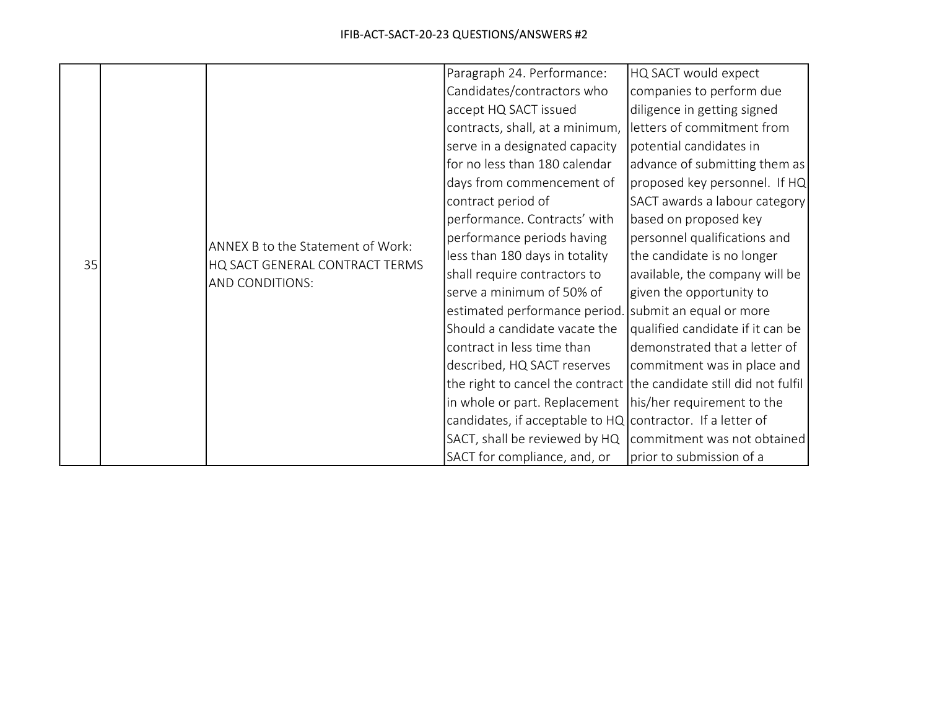|    |  |                                                                                        | Paragraph 24. Performance:                                          | HQ SACT would expect             |
|----|--|----------------------------------------------------------------------------------------|---------------------------------------------------------------------|----------------------------------|
|    |  |                                                                                        | Candidates/contractors who                                          | companies to perform due         |
|    |  |                                                                                        | accept HQ SACT issued                                               | diligence in getting signed      |
|    |  |                                                                                        | contracts, shall, at a minimum,                                     | letters of commitment from       |
|    |  |                                                                                        | serve in a designated capacity                                      | potential candidates in          |
|    |  |                                                                                        | for no less than 180 calendar                                       | advance of submitting them as    |
|    |  |                                                                                        | days from commencement of                                           | proposed key personnel. If HQ    |
|    |  |                                                                                        | contract period of                                                  | SACT awards a labour category    |
|    |  |                                                                                        | performance. Contracts' with                                        | based on proposed key            |
|    |  | ANNEX B to the Statement of Work:<br>HQ SACT GENERAL CONTRACT TERMS<br>AND CONDITIONS: | performance periods having                                          | personnel qualifications and     |
| 35 |  |                                                                                        | less than 180 days in totality                                      | the candidate is no longer       |
|    |  |                                                                                        | shall require contractors to                                        | available, the company will be   |
|    |  |                                                                                        | serve a minimum of 50% of                                           | given the opportunity to         |
|    |  |                                                                                        | estimated performance period.                                       | submit an equal or more          |
|    |  |                                                                                        | Should a candidate vacate the                                       | qualified candidate if it can be |
|    |  |                                                                                        | contract in less time than                                          | demonstrated that a letter of    |
|    |  |                                                                                        | described, HQ SACT reserves                                         | commitment was in place and      |
|    |  |                                                                                        | the right to cancel the contract the candidate still did not fulfil |                                  |
|    |  |                                                                                        | in whole or part. Replacement   his/her requirement to the          |                                  |
|    |  |                                                                                        | candidates, if acceptable to $HQ$ contractor. If a letter of        |                                  |
|    |  |                                                                                        | SACT, shall be reviewed by HQ   commitment was not obtained         |                                  |
|    |  |                                                                                        | SACT for compliance, and, or                                        | prior to submission of a         |